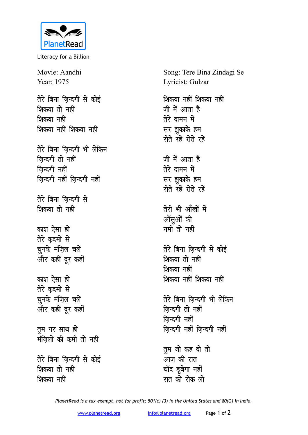

Literacy for a Billion

Movie: Aandhi Year: 1975

तेरे बिना जिन्दगी से कोई शिकवा तो नहीं शिकवा नहीं शिकवा नहीं शिकवा नहीं

तेरे बिना जिन्दगी भी लेकिन **जिन्दगी** तो नहीं **जिन्दगी** नहीं **जिन्दगी नहीं जिन्दगी नहीं** 

**तेरे बिना जिन्दगी से** शिकवा तो नहीं

काश ऐसा हो **तेरे** कदमों से <u>चू</u>नके मंज़िल चलें <u>और कहीं दूर कहीं</u>

<u>काश ऐसा हो</u> **तेरे** कदमों से चुनके मंज़िल चलें <u>और कहीं दूर कहीं</u>

**तुम गर साथ हो** <u>मंजिलों</u> की कमी तो नहीं

तेरे बिना जिन्दगी से कोई <u>शिकवा तो नहीं</u> शिकवा नहीं

Song: Tere Bina Zindagi Se Lyricist: Gulzar शिकवा नहीं शिकवा नहीं जी में आता ह<del>ै</del> **तेरे** दामन में सर झुकाके हम रोते रहें रोते **रहें** जी में आता है **तेरे** दामन में **सर** झुकाके हम रोते रहें रोते रहें तेरी भी आँखों में आँसुओं की नमी तो नहीं तेरे बिना जिन्दगी से कोई <u>शिकवा तो नहीं</u> **शिकवा** नहीं <u>शिकवा नहीं शिकवा नहीं</u> **तेरे बिना ज़िन्दगी भी लेकिन जिन्दगी** तो नहीं **जिन्दगी** नहीं **ज़िन्दगी नहीं ज़िन्दगी नहीं तुम जो कह दो तो** आज की रात चाँद डूबेगा नहीं

*PlanetRead is a tax-exempt, not-for-profit: 501(c) (3) in the United States and 80(G) in India.*

रात को रोक लो